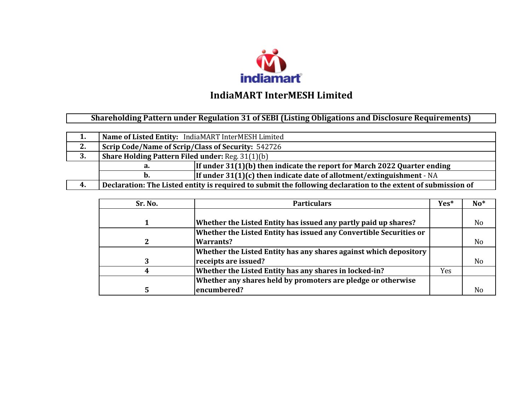

**Shareholding Pattern under Regulation 31 of SEBI (Listing Obligations and Disclosure Requirements)** 

| 1. | Name of Listed Entity: IndiaMART InterMESH Limited                                                            |                                                                          |  |  |  |  |  |  |  |  |
|----|---------------------------------------------------------------------------------------------------------------|--------------------------------------------------------------------------|--|--|--|--|--|--|--|--|
| 2. | Scrip Code/Name of Scrip/Class of Security: 542726                                                            |                                                                          |  |  |  |  |  |  |  |  |
| 3. | <b>Share Holding Pattern Filed under: Reg. 31(1)(b)</b>                                                       |                                                                          |  |  |  |  |  |  |  |  |
|    | а.                                                                                                            | If under 31(1)(b) then indicate the report for March 2022 Quarter ending |  |  |  |  |  |  |  |  |
|    | If under $31(1)(c)$ then indicate date of allotment/extinguishment - NA<br>D.                                 |                                                                          |  |  |  |  |  |  |  |  |
| 4. | Declaration: The Listed entity is required to submit the following declaration to the extent of submission of |                                                                          |  |  |  |  |  |  |  |  |

| Sr. No. | <b>Particulars</b>                                                 | Yes* | $No*$          |
|---------|--------------------------------------------------------------------|------|----------------|
|         |                                                                    |      |                |
|         | Whether the Listed Entity has issued any partly paid up shares?    |      | No             |
|         | Whether the Listed Entity has issued any Convertible Securities or |      |                |
|         | <b>Warrants?</b>                                                   |      | N <sub>o</sub> |
|         | Whether the Listed Entity has any shares against which depository  |      |                |
|         | receipts are issued?                                               |      | N <sub>o</sub> |
|         | Whether the Listed Entity has any shares in locked-in?             | Yes: |                |
|         | Whether any shares held by promoters are pledge or otherwise       |      |                |
|         | encumbered?                                                        |      | No             |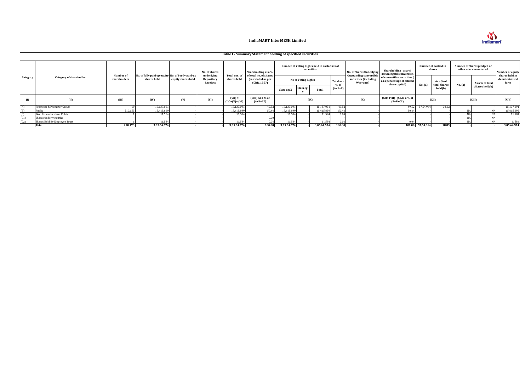

|          |                                |                           |                                                                  |                    |                                      |                              | Table I - Summary Statement holding of specified securities        |                                                                     |                                        |                                                             |                                   |                                                                      |                                                                             |                  |                                      |         |                                                     |                                          |
|----------|--------------------------------|---------------------------|------------------------------------------------------------------|--------------------|--------------------------------------|------------------------------|--------------------------------------------------------------------|---------------------------------------------------------------------|----------------------------------------|-------------------------------------------------------------|-----------------------------------|----------------------------------------------------------------------|-----------------------------------------------------------------------------|------------------|--------------------------------------|---------|-----------------------------------------------------|------------------------------------------|
|          |                                |                           |                                                                  |                    | No. of shares                        |                              | Shareholding as a %                                                |                                                                     |                                        | Number of Voting Rights held in each class of<br>securities |                                   | No. of Shares Underlying                                             | Shareholding, as a %<br>assuming full conversion                            |                  | Number of Locked in<br>shares        |         | Number of Shares pledged or<br>otherwise encumbered | Number of equity                         |
| Category | <b>Category of shareholder</b> | Number of<br>shareholders | No. of fully paid up equity No. of Partly paid-up<br>shares held | equity shares held | underlying<br>Depository<br>Receipts | Total nos. of<br>shares held | of total no. of shares<br>(calculated as per<br><b>SCRR, 1957)</b> | Class eg: X                                                         | <b>No of Voting Rights</b><br>Class eg | Total                                                       | Total as a<br>$%$ of<br>$(A+B+C)$ | <b>Outstanding convertible</b><br>securities (including<br>Warrants) | of convertible securities (<br>as a percentage of diluted<br>share capital) | No. (a)          | As a % of<br>total Shares<br>held(b) | No. (a) | As a % of total<br>Shares held(b)                   | shares held in<br>dematerialised<br>form |
|          | (II)                           | (III)                     | (IV)                                                             | (V)                | (VI)                                 | $(VII) =$<br>$(IV)+(V)+(VI)$ | (VIII) As a % of<br>$(A+B+C2)$                                     | $(XI) = (VII)+(X) As a \% of$<br>(IX)<br>(X)<br>(XII)<br>$(A+B+C2)$ |                                        |                                                             | (XIII)                            |                                                                      | (XIV)                                                                       |                  |                                      |         |                                                     |                                          |
| (A)      | Promoter & Promoter Group      |                           | 15,137,091                                                       |                    |                                      | 15.137.091                   | 49.52                                                              | 15,137,091                                                          |                                        | 15,137,091                                                  | 49.52                             |                                                                      | 49.52                                                                       | 57,54,964        | 38.02                                |         |                                                     | 15,137,091                               |
| (B)      | Public                         | 210,153                   | 15,415,899                                                       |                    |                                      | 15,415,89                    | 50.44                                                              | 15,415,899                                                          |                                        | 15,415,899                                                  | 50.44                             |                                                                      | 50.44                                                                       |                  |                                      |         |                                                     | 15,415,699                               |
| (C)      | Non Promoter - Non Public      |                           | 11,584                                                           |                    |                                      | 11.584                       |                                                                    | 11.584                                                              |                                        | 11,584                                                      | 0.04                              |                                                                      |                                                                             |                  |                                      |         |                                                     | 11,584                                   |
| (C1)     | Shares Underlying DRs          |                           |                                                                  |                    |                                      |                              | 0.00                                                               |                                                                     |                                        |                                                             |                                   |                                                                      |                                                                             |                  |                                      |         |                                                     |                                          |
| (C2)     | Shares Held By Employee Trust  |                           | 11.584                                                           |                    |                                      | 11.584                       | 0.04                                                               | 11.584                                                              |                                        | 11.584                                                      | 0.04                              |                                                                      | 0.04                                                                        |                  |                                      |         |                                                     | 11584                                    |
|          | <b>Total</b>                   | 210,173                   | 3,05,64,574                                                      |                    |                                      | 3,05,64,574                  | 100.00                                                             | 3,05,64,574                                                         |                                        | 3,05,64,574                                                 | 100.00                            |                                                                      |                                                                             | 100.00 57,54,964 | 18.83                                |         |                                                     | 3,05,64,374                              |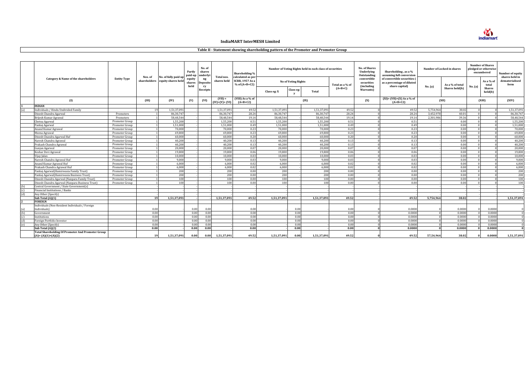**M**<br> **indiamart** 

# **Table II - Statement showing shareholding pattern of the Promoter and Promoter Group**

|                          |                                                          |                    |         |                                                         | Partly<br>paid-up        | No. of<br>shares<br>underly |                              | Shareholding %                                                   |                            |           | Number of Voting Rights held in each class of securities |                 | <b>No. of Shares</b><br>Underlying<br>Outstanding | Shareholding, as a %<br>assuming full conversion                            |           | Number of Locked in shares | <b>Number of Shares</b><br>pledged or otherwise<br>encumbered |                          | Number of equity<br>shares held in |
|--------------------------|----------------------------------------------------------|--------------------|---------|---------------------------------------------------------|--------------------------|-----------------------------|------------------------------|------------------------------------------------------------------|----------------------------|-----------|----------------------------------------------------------|-----------------|---------------------------------------------------|-----------------------------------------------------------------------------|-----------|----------------------------|---------------------------------------------------------------|--------------------------|------------------------------------|
|                          | Category & Name of the shareholders                      | <b>Entity Type</b> | Nos. of | No. of fully paid up<br>shareholders equity shares held | equity<br>shares<br>held | ng<br>Deposito<br>ry        | Total nos.<br>shares held    | calculated as per<br><b>SCRR, 1957 As a</b><br>$%$ of $(A+B+C2)$ | <b>No of Voting Rights</b> |           |                                                          | Total as a % of | convertible<br>securities<br>(including           | of convertible securities (<br>as a percentage of diluted<br>share capital) | No. (a)   | As a % of total            | No. (a)                                                       | As a % of<br>total       | dematerialised<br>form             |
|                          |                                                          |                    |         |                                                         |                          | Receipts                    |                              |                                                                  | Class eg: X                | Class eg: | Total                                                    | $(A+B+C)$       | Warrants)                                         |                                                                             |           | Shares held(b)             |                                                               | <b>Shares</b><br>held(b) |                                    |
|                          | (I)                                                      |                    | (III)   | (IV)                                                    | (V)                      | (VI)                        | $(VII) =$<br>$(IV)+(V)+(VI)$ | (VIII) As a % of<br>$(A+B+C2)$                                   |                            |           | (IX)                                                     |                 | (X)                                               | $(XI) = (VII)+(X) As a % of$<br>$(A+B+C2)$                                  |           | (XII)                      |                                                               | (XIII)                   | (XIV)                              |
|                          | <b>INDIAN</b>                                            |                    |         |                                                         |                          |                             |                              |                                                                  |                            |           |                                                          |                 |                                                   |                                                                             |           |                            |                                                               |                          |                                    |
|                          | Individuals / Hindu Undivided Family                     |                    | 1C      | 1,51,37,09                                              |                          |                             | 1,51,37,09                   | 49.52                                                            | 1,51,37,09                 |           | 1,51,37,091                                              | 49.52           |                                                   | 49.52                                                                       | 5,754,964 | 38.02                      |                                                               |                          | 1,51,37,091                        |
|                          | Dinesh Chandra Agarwal                                   | Promoters          |         | 86,30,74                                                |                          |                             | 86,30,747                    | 28.24                                                            | 86,30,74                   |           | 86,30,747                                                | 28.24           |                                                   | 28.24                                                                       | 3,452,97  | 40.01                      |                                                               |                          | 86,30,747                          |
|                          | Brijesh Kumar Agrawal                                    | Promoters          |         | 58.48.544                                               |                          |                             | 58,48,544                    | 19.14                                                            | 58.48.544                  |           | 58.48.544                                                | 19.14           |                                                   | 19.14                                                                       | 2.301.986 | 39.36                      |                                                               |                          | 58,48,544                          |
|                          | Chetna Agarwal                                           | Promoter Group     |         | 1.55.200                                                |                          |                             | 1.55.200                     | 0.51                                                             | 1.55.200                   |           | 1.55.200                                                 | 0.51            |                                                   | 0.51                                                                        |           | 0.00                       |                                                               |                          | 1,55,200                           |
|                          | Pankai Agarwal                                           | Promoter Group     |         | 1.51.000                                                |                          |                             | 1,51,000                     | 0.49                                                             | 1.51.000                   |           | 1.51.000                                                 | 0.49            |                                                   | 0.49                                                                        |           | 0.00                       |                                                               |                          | 1.51.000                           |
|                          | Anand Kumar Agrawal                                      | Promoter Group     |         | 70,000                                                  |                          |                             | 70,000                       | 0.23                                                             | 70.000                     |           | 70.000                                                   | 0.23            |                                                   | 0.23                                                                        |           | 0.00                       |                                                               |                          | 70.000                             |
|                          | Meena Agrawal                                            | Promoter Group     |         | 69.800                                                  |                          |                             | 69,800                       | 0.23                                                             | 69.800                     |           | 69,800                                                   | 0.23            |                                                   | 0.23                                                                        |           | 0.00                       |                                                               |                          | 69.800                             |
|                          | Dinesh Chandra Agarwal Huf                               | Promoter Group     |         | 60,000                                                  |                          |                             | 60,000                       | 0.20                                                             | 60,000                     |           | 60,000                                                   | 0.20            |                                                   | 0.20                                                                        |           | 0.00                       |                                                               |                          | 60.000                             |
|                          | Naresh Chandra Agrawal                                   | Promoter Group     |         | 40,200                                                  |                          |                             | 40,200                       | 0.13                                                             | 40,200                     |           | 40,200                                                   | 0.13            |                                                   | 0.13                                                                        |           | 0.00                       |                                                               |                          | 40,200                             |
|                          | Prakash Chandra Agrawal                                  | Promoter Group     |         | 40.200                                                  |                          |                             | 40,200                       | 0.13                                                             | 40,200                     |           | 40,200                                                   | 0.13            |                                                   | 0.13                                                                        |           | 0.00                       |                                                               |                          | 40,200                             |
|                          | Gunjan Agarwal                                           | Promoter Group     |         | 20,000                                                  |                          |                             | 20,000                       | 0.07                                                             | 20,000                     |           | 20,000                                                   | 0.07            |                                                   | 0.07                                                                        |           | 0.00                       |                                                               |                          | 20,000                             |
|                          | Keshar Devi Agrawal                                      | Promoter Group     |         | 19.800                                                  |                          |                             | 19,800                       | 0.06                                                             | 19,800                     |           | 19,800                                                   | 0.06            |                                                   | 0.06                                                                        |           | 0.00                       |                                                               |                          | 19,800                             |
|                          | Vijav Jalan                                              | Promoter Group     |         | 10.000                                                  |                          |                             | 10,000                       | 0.03                                                             | 10.000                     |           | 10.000                                                   | 0.03            |                                                   | 0.03                                                                        |           | 0.00                       |                                                               |                          | 10.000                             |
|                          | Naresh Chandra Agrawal Huf                               | Promoter Group     |         | 9.000                                                   |                          |                             | 9.000                        | 0.03                                                             | 9.000                      |           | 9.000                                                    | 0.03            |                                                   | 0.03                                                                        |           | 0.00                       |                                                               |                          | 9.000                              |
|                          | Anand Kumar Agrawal Huf                                  | Promoter Group     |         | 6.000                                                   |                          |                             | 6.000                        | 0.02                                                             | 6.000                      |           | 6.000                                                    | 0.02            |                                                   | 0.02                                                                        |           | 0.00                       |                                                               |                          | 6.000                              |
|                          | Prakash Chandra Agrawal Huf                              | Promoter Group     |         | 6.000                                                   |                          |                             | 6,000                        | 0.02                                                             | 6,000                      |           | 6,000                                                    | 0.02            |                                                   | 0.02                                                                        |           | 0.00                       |                                                               |                          | 6,000                              |
|                          | Pankaj Agarwal (Hamirwasia Family Trust)                 | Promoter Group     |         | 200                                                     |                          |                             | 200                          | 0.00                                                             | 200                        |           | 200                                                      | 0.00            |                                                   | 0.00                                                                        |           | 0.00                       |                                                               |                          | 200                                |
|                          | Pankaj Agarwal (Hamirwasia Business Trust)               | Promoter Group     |         | 200                                                     |                          |                             | 200                          | 0.00                                                             | 200                        |           | 200                                                      | 0.00            |                                                   | 0.00                                                                        |           | 0.00                       |                                                               |                          | 200                                |
|                          | Dinesh Chandra Agarwal (Nanpara Family Trust)            | Promoter Group     |         | 100                                                     |                          |                             | 100                          | 0.00                                                             | 100                        |           | 100                                                      | 0.00            |                                                   | 0.00                                                                        |           | 0.00                       |                                                               |                          | 100                                |
|                          | Dinesh Chandra Agarwal (Nanpara Business Trust)          | Promoter Group     |         | 100                                                     |                          |                             | 100                          | 0.00                                                             | 100                        |           | 100                                                      | 0.00            |                                                   | 0.00                                                                        |           | 0.00                       |                                                               |                          | 100                                |
| (b)                      | Central Government / State Government(s)                 |                    |         |                                                         |                          |                             |                              |                                                                  |                            |           |                                                          |                 |                                                   |                                                                             |           |                            |                                                               |                          |                                    |
|                          | Financial Institutions / Banks                           |                    |         |                                                         |                          |                             |                              |                                                                  |                            |           |                                                          |                 |                                                   |                                                                             |           |                            |                                                               |                          |                                    |
| $\frac{c}{d}$            | Any Other (Specify)                                      |                    |         |                                                         |                          |                             |                              |                                                                  |                            |           |                                                          |                 |                                                   |                                                                             |           |                            |                                                               |                          |                                    |
|                          | Sub Total (A)(1)                                         |                    | 19      | 1,51,37,091                                             |                          |                             | 1,51,37,091                  | 49.52                                                            | 1,51,37,091                |           | 1,51,37,091                                              | 49.52           |                                                   | 49.52                                                                       | 5,754,964 | 38.02                      |                                                               |                          | 1,51,37,091                        |
|                          | <b>FOREIGN</b>                                           |                    |         |                                                         |                          |                             |                              |                                                                  |                            |           |                                                          |                 |                                                   |                                                                             |           |                            |                                                               |                          |                                    |
|                          | Individuals (Non-Resident Individuals / Foreign          |                    |         |                                                         |                          |                             |                              |                                                                  |                            |           |                                                          |                 |                                                   |                                                                             |           |                            |                                                               |                          |                                    |
|                          | Individuals)                                             |                    | 0.00    |                                                         | 0.00                     | 0.00                        |                              | 0.00                                                             |                            | 0.00      |                                                          | 0.00            |                                                   | 0.0000                                                                      |           | 0.0000                     |                                                               | 0.0000                   |                                    |
|                          | Government                                               |                    | 0.00    |                                                         | 0.00                     | 0.00                        |                              | 0.00                                                             |                            | 0.00      |                                                          | 0.00            |                                                   | 0.0000                                                                      |           | 0.0000                     |                                                               | 0.0000                   |                                    |
| (a)<br>(b)<br>(c)<br>(e) | nstitutions                                              |                    | 0.00    |                                                         | 0.00                     | 0.00                        |                              | 0.00                                                             |                            | 0.00      |                                                          | 0.00            |                                                   | 0.0000                                                                      |           | 0.0000                     |                                                               | 0.0000                   | $\Omega$                           |
|                          | Foreign Portfolio Investor                               |                    | 0.00    |                                                         | 0.00                     | 0.00                        |                              | 0.00                                                             |                            | 0.00      |                                                          | 0.00            |                                                   | 0.0000                                                                      |           | 0.0000                     |                                                               | 0.0000                   | $\Omega$                           |
|                          | Any Other (Specify)                                      |                    | 0.00    |                                                         | 0.00                     | 0.00                        |                              | 0.00                                                             |                            | 0.00      |                                                          | 0.00            |                                                   | 0.0000                                                                      |           | 0.000(                     |                                                               | 0.0000                   |                                    |
|                          | Sub Total (A)(2)                                         |                    | 0.00    |                                                         | 0.00                     | 0.00                        |                              | 0.00                                                             |                            | 0.00      |                                                          | 0.00            |                                                   | 0.0000                                                                      |           | 0.0000                     |                                                               | 0.0000                   | $\Omega$                           |
|                          | <b>Total Shareholding Of Promoter And Promoter Group</b> |                    |         |                                                         |                          |                             |                              |                                                                  |                            |           |                                                          |                 |                                                   |                                                                             |           |                            |                                                               |                          |                                    |
|                          | $(A)=(A)(1)+(A)(2)$                                      |                    | 19      | 1,51,37,091                                             | 0.00                     | 0.00                        | 1.51.37.091                  | 49.52                                                            | 1,51,37,091                | 0.00      | 1.51.37.091                                              | 49.52           |                                                   | 49.52                                                                       | 57.54.964 | 38.02                      |                                                               | 0.0000                   | 1,51,37,091                        |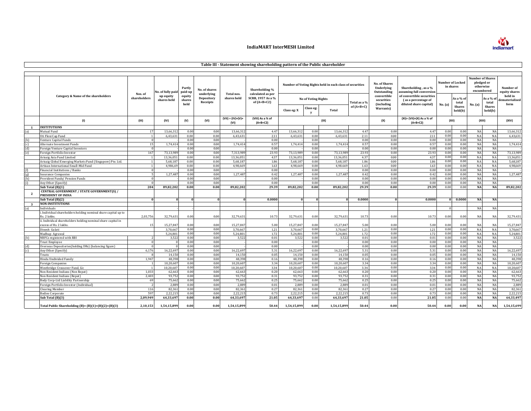

# **Table III - Statement showing shareholding pattern of the Public shareholder**

|              |                                                                              |                         | No. of fully paid        | Partly<br>paid-up        | No. of shares                        |                             | Shareholding %                                          |             |                            | Number of Voting Rights held in each class of securities |              | <b>No. of Shares</b><br>Underlying<br>Outstanding | Shareholding, as a %<br>ssuming full conversion                            | Number of Locked<br>in shares |                          | <b>Number of Shares</b><br>pledged or<br>otherwise<br>encumbered |                    | Number of<br>equity shares        |
|--------------|------------------------------------------------------------------------------|-------------------------|--------------------------|--------------------------|--------------------------------------|-----------------------------|---------------------------------------------------------|-------------|----------------------------|----------------------------------------------------------|--------------|---------------------------------------------------|----------------------------------------------------------------------------|-------------------------------|--------------------------|------------------------------------------------------------------|--------------------|-----------------------------------|
|              | Category & Name of the shareholders                                          | Nos. of<br>shareholders | up equity<br>shares held | equity<br>shares<br>held | underlying<br>Depository<br>Receipts | Total nos.<br>shares held   | calculated as per<br>SCRR, 1957 As a %<br>of $(A+B+C2)$ |             | <b>No of Voting Rights</b> |                                                          | Total as a % | convertible<br>securities<br>(including           | of convertible securities<br>(as a percentage of<br>diluted share capital) | No. (a)                       | As a % of<br>total       | No. (a)                                                          | As a % of<br>total | held in<br>dematerialised<br>form |
|              |                                                                              |                         |                          |                          |                                      |                             |                                                         | Class eg: X | Class eg:                  | Total                                                    | of $(A+B+C)$ | <b>Warrants</b>                                   |                                                                            |                               | <b>Shares</b><br>held(b) |                                                                  | Shares<br>held(b)  |                                   |
|              | (1)                                                                          | (III)                   | (IV)                     | (V)                      | (VI)                                 | $(VII) = (IV)+(V)+$<br>(VI) | (VIII) As a % of<br>$(A+B+C2)$                          |             |                            | (IX)                                                     |              | (X)                                               | $(XI) = (VII)+(X) As a % of$<br>$(A+B+C2)$                                 | (XII)                         |                          | (XIII)                                                           |                    | (XIV)                             |
| $\mathbf{1}$ | <b>INSTITUTIONS</b>                                                          |                         |                          |                          |                                      |                             |                                                         |             |                            |                                                          |              |                                                   |                                                                            |                               |                          |                                                                  |                    |                                   |
|              | Mutual Fund                                                                  | 17                      | 13,66,31                 | 0.00                     | 0.00                                 | 13,66,31                    | 4.47                                                    | 13,66,31    | 0.00                       | 13,66,31                                                 | 4.47         | 0.00                                              | 4.47                                                                       | 0.00                          | 0.00                     | <b>NA</b>                                                        | NA                 | 13,66,312                         |
|              | Uti Flexi Cap Fund                                                           |                         | 6,43,63                  | 0.00                     | 0.00                                 | 6.43.63                     | 2.11                                                    | 6,43,63     | 0.00                       | 6.43.63                                                  | 2.11         | 0.00                                              | 2.11                                                                       | 0.01                          | 0.00                     | NA                                                               | NA                 | 6,43,631                          |
| (b)          | enture Capital Funds                                                         |                         |                          | 0.00                     | 0.00                                 |                             | 0.00                                                    |             | 0.00                       |                                                          | 0.00         | 0.00                                              | 0.00                                                                       | 0.01                          | 0.00                     | <b>NA</b>                                                        | NA                 |                                   |
| (c)          | Alternate Investment Funds                                                   | 15                      | 1,74,41                  | 0.00                     | 0.00                                 | 1,74,41                     | $0.5^{\circ}$                                           | 1,74,41     | 0.0(                       | 1,74,41                                                  | 0.57         | 0.00                                              | 0.57                                                                       | 0.01                          | 0.00                     | NA                                                               | NA                 | 1,74,414                          |
| (d)          | Foreign Venture Capital Investors                                            |                         |                          | 0.00                     | 0.00                                 |                             | 0.00                                                    |             | 0.00                       |                                                          | 0.00         | 0.00                                              | 0.00                                                                       | 0.0(                          | 0.00                     | <b>NA</b>                                                        | NA                 |                                   |
| (e)          | Foreign Portfolio Investor                                                   | 167                     | 73,13,98                 | 0.00                     | 0.00                                 | 7.313.98                    | 23.9                                                    | 73,13,98    | 0.00                       | 73.13.98                                                 | 23.93        | 0.00                                              | 23.93                                                                      | 0.01                          | 0.00                     | <b>NA</b>                                                        | NA                 | 73,13,989                         |
|              | Arisaig Asia Fund Limited                                                    |                         | 13.36.05                 | 0.00                     | 0.00                                 | 13.36.05                    | $4.3^{\circ}$                                           | 13.36.051   | 0.00                       | 13.36.05                                                 | 4.37         | 0.00                                              | 4.37                                                                       | 0.00                          | 0.00                     | <b>NA</b>                                                        | NA                 | 13.36.051                         |
|              | Arisaig Global Emerging Markets Fund (Singapore) Pte. Ltd                    |                         | 5.68.18                  | 0.00                     | 0.00                                 | 5.68.18                     | 1.86                                                    | 5.68.187    | 0.0(                       | 5.68.18                                                  | 1.86         | 0.00                                              | 1.86                                                                       | 0.01                          | 0.00                     | <b>NA</b>                                                        | NA                 | 5,68,187                          |
|              | Artisan International Small-Mid Fund                                         |                         | 4,986,69                 | 0.00                     | 0.00                                 | 4,98,66                     | 1.63                                                    | 4,98,669    | 0.00                       | 4,98.669                                                 | 1.63         | 0.00                                              | 1.63                                                                       | 0.01                          | 0.00                     | NA                                                               | NA                 | 4,98,669                          |
| (f)          | Financial Institutions / Banks                                               |                         |                          | 0.00                     | 0.00                                 |                             | 0.00                                                    |             | 0.00                       |                                                          | 0.00         | 0.00                                              | 0.00                                                                       | 0.01                          | 0.00                     | NA                                                               | NA                 |                                   |
| (g)          | <b>Insurance Companies</b>                                                   |                         | 1,27,48                  | 0.00                     | 0.00                                 | 1,27,48                     | 0.4                                                     | 1,27,48     | 0.0(                       | 1,27,48                                                  | 0.42         | 0.00                                              | 0.42                                                                       | 0.01                          | 0.00                     | NA                                                               | NA                 | 1,27,487                          |
| (h)          | Provident Funds/ Pension Funds                                               |                         |                          | 0.00                     | 0.00                                 |                             | 0.00                                                    |             | 0.00                       |                                                          | 0.00         | 0.00                                              | 0.00                                                                       | 0.00                          | 0.00                     | <b>NA</b>                                                        | NA                 |                                   |
| (i)          | Any Other (Specify)                                                          |                         |                          | 0.00                     | 0.00                                 |                             | 0.00                                                    |             | 0.00                       |                                                          | 0.00         | 0.00                                              | 0.00                                                                       | 0.01                          | 0.00                     | <b>NA</b>                                                        | NA                 |                                   |
|              | Sub Total (B)(1)                                                             | 204                     | 89.82.20                 | 0.00                     | 0.00                                 | 89.82.20                    | 29.39                                                   | 89.82.202   | 0.00                       | 89.82.202                                                | 29.39        | 0.00                                              | 29.39                                                                      | 0.01                          | 0.00                     | <b>NA</b>                                                        | <b>NA</b>          | 89,82,202                         |
| $\mathbf{2}$ | CENTRAL GOVERNMENT / STATE GOVERNMENT(S) /                                   |                         |                          |                          |                                      |                             |                                                         |             |                            |                                                          |              |                                                   |                                                                            |                               |                          |                                                                  |                    |                                   |
|              | PRESIDENT OF INDIA                                                           |                         |                          |                          |                                      |                             |                                                         |             |                            |                                                          |              |                                                   |                                                                            |                               |                          |                                                                  |                    |                                   |
|              | Sub Total (B)(2)                                                             |                         |                          |                          |                                      |                             | 0.000(                                                  |             |                            |                                                          | 0.0000       |                                                   | 0.0000                                                                     |                               | 0.0000                   | <b>NA</b>                                                        | <b>NA</b>          |                                   |
| $\mathbf{3}$ | <b>NON-INSTITUTIONS</b>                                                      |                         |                          |                          |                                      |                             |                                                         |             |                            |                                                          |              |                                                   |                                                                            |                               |                          |                                                                  |                    |                                   |
| (a)          | Individuals                                                                  |                         |                          |                          |                                      |                             |                                                         |             |                            |                                                          |              |                                                   |                                                                            |                               |                          | <b>NA</b>                                                        | NA                 |                                   |
|              | . Individual shareholders holding nominal share capital up to<br>Rs. 2 lakhs | 2.03.756                | 32,79,631                | 0.00                     | 0.00                                 | 32,79,63                    | 10.73                                                   | 32,79,631   | 0.00                       | 32,79,631                                                | 10.73        | 0.00                                              | 10.73                                                                      | 0.00                          | 0.00                     | NA                                                               | NA                 | 32,79,431                         |
|              | ii. Individual shareholders holding nominal share capital in                 |                         |                          |                          |                                      |                             |                                                         |             |                            |                                                          |              |                                                   |                                                                            |                               |                          |                                                                  |                    |                                   |
|              | excess of Rs. 2 lakhs.                                                       | 15                      | 15.27.84                 | 0.00                     | 0.00                                 | 15.27.84                    | 5.0(                                                    | 15.27.847   | 0.00                       | 15.27.84                                                 | 5.00         | 0.00                                              | 5.00                                                                       | 0.00                          | 0.00                     | <b>NA</b>                                                        | N/                 | 15.27.847                         |
|              | Dinesh Gulati                                                                |                         | 3.70.667                 | 0.00                     | 0.00                                 | 3.70.667                    | 1.21                                                    | 3.70.667    | 0.00                       | 3.70.667                                                 | 1.21         | 0.00                                              | 1.21                                                                       | 0.0(                          | 0.00                     | NA                                                               | NA                 | 3.70.667                          |
|              | Madhup Agrawal                                                               |                         | 5.24.80                  | 0.00                     | 0.00                                 | 5.24.80                     | 1.72                                                    | 5.24.80     | 0.00                       | 5.24.801                                                 | 1.72         | 0.00                                              | 1.72                                                                       | 0.0(                          | 0.00                     | <b>NA</b>                                                        | NA                 | 5.24.801                          |
| (b)          | NBFCs registered with RBI                                                    |                         | 3,522                    | 0.00                     | 0.00                                 | 3,522                       | 0.01                                                    | 3,522       | 0.00                       | 3,522                                                    | 0.01         | 0.00                                              | 0.01                                                                       | 0.01                          | 0.00                     | <b>NA</b>                                                        | NA                 | 3,522                             |
|              | <b>Trust Employee</b>                                                        |                         |                          | 0.00                     | 0.00                                 |                             | 0.00                                                    |             | 0.00                       |                                                          | 0.00         | 0.00                                              | 0.00                                                                       | 0.00                          | 0.00                     | <b>NA</b>                                                        | NA                 |                                   |
| (d)          | Overseas Depositories(holding DRs) (balancing figure)                        |                         |                          | 0.00                     | 0.00                                 |                             | 0.00                                                    |             | 0.00                       |                                                          | 0.00         | 0.00                                              | 0.00                                                                       | 0.00                          | 0.00                     | NA                                                               | NA                 |                                   |
| (c)          | Any Other (Specify)                                                          | 6,176                   | 16.22.697                | 0.00                     | 0.00                                 | 16.22.69                    | 5.31                                                    | 16,22,697   | 0.00                       | 16,22,69                                                 | 5.31         | 0.00                                              | 5.31                                                                       | 0.01                          | 0.00                     | <b>NA</b>                                                        | NA                 | 16,22,697                         |
|              | Trusts                                                                       |                         | 14,15                    | 0.00                     | 0.00                                 | 14,15                       | 0.05                                                    | 14,15       | 0.00                       | 14,15                                                    | 0.05         | 0.00                                              | 0.05                                                                       | 0.01                          | 0.00                     | NA                                                               | NA                 | 14,150                            |
|              | Hindu Undivided Family                                                       | 1,947                   | 48,39                    | 0.00                     | 0.00                                 | 48,39                       | 0.16                                                    | 48,39       | 0.00                       | 48.39                                                    | 0.16         | 0.00                                              | 0.16                                                                       | 0.01                          | 0.00                     | <b>NA</b>                                                        | NA                 | 48,398                            |
|              | Foreign Companies                                                            |                         | 10,20,60                 | 0.00                     | 0.00                                 | 10,20,60                    | 3.34                                                    | 10,20,60    | 0.00                       | 10,20,60                                                 | 3.34         | 0.00                                              | 3.34                                                                       | 0.01                          | 0.00                     | NA                                                               | NA                 | 10,20,607                         |
|              | Westbridge Crossover Fund, Llc                                               |                         | 10.20.607                | 0.00                     | 0.00                                 | 10.20.60                    | 3.34                                                    | 10.20.607   | 0.00                       | 10.20.607                                                | 3.34         | 0.00                                              | 3.34                                                                       | 0.01                          | 0.00                     | <b>NA</b>                                                        | NA                 | 10,20,607                         |
|              | Non Resident Indians (Non Repat)                                             | 1,033                   | 62,66                    | 0.00                     | 0.00                                 | 62,66                       | 0.20                                                    | 62,663      | 0.0(                       | 62,66                                                    | 0.20         | 0.00                                              | 0.20                                                                       | 0.01                          | 0.00                     | NA                                                               | NA                 | 62,663                            |
|              | Non Resident Indians (Repat)                                                 | 2,403                   | 93,75                    | 0.00                     | 0.00                                 | 93,75                       | 0.31                                                    | 93,752      | 0.00                       | 93,75                                                    | 0.31         | 0.00                                              | 0.31                                                                       | 0.0(                          | 0.00                     | NA                                                               | NA                 | 93,752                            |
|              | Body Corp-Ltd Liability Partnership                                          | 69                      | 75,66                    | 0.00                     | 0.00                                 | 75.662                      | 0.25                                                    | 75.662      | 0.0(                       | 75,66                                                    | 0.25         | 0.00                                              | 0.25                                                                       | 0.01                          | 0.00                     | <b>NA</b>                                                        | NA                 | 75,662                            |
|              | Foreign Portfolio Investor (Individual                                       |                         | 2,88                     | 0.00                     | 0.00                                 | 2,88                        | 0.01                                                    | 2,88        | 0.0(                       | 2,88                                                     | 0.01         | 0.00                                              | 0.01                                                                       | 0.01                          | 0.00                     | NA                                                               | NA                 | 2,889                             |
|              | <b>Clearing Member</b>                                                       | 116                     | 82,36                    | 0.00                     | 0.00                                 | 82,36                       | 0.27                                                    | 82,36       | 0.00                       | 82,36                                                    | 0.27         | 0.00                                              | 0.27                                                                       | 0.01                          | 0.00                     | <b>NA</b>                                                        | NA                 | 82,361                            |
|              | <b>Bodies Corporate</b>                                                      | 597                     | 2,22,21                  | 0.00                     | 0.00                                 | 2,22,21                     | 0.7                                                     | 2,22,21     | 0.00                       | 2,22,21                                                  | 0.73         | 0.00                                              | 0.7                                                                        | 0.01                          | 0.00                     | <b>NA</b>                                                        | NA                 | 2,22,21                           |
|              | Sub Total (B)(3)                                                             | 2,09,949                | 64.33.69                 | 0.00                     | 0.00                                 | 64,33,69                    | 21.05                                                   | 64.33.697   | 0.00                       | 64.33.69                                                 | 21.05        | 0.00                                              | 21.05                                                                      | 0.01                          | 0.00                     | <b>NA</b>                                                        | <b>NA</b>          | 64,33,497                         |
|              | Total Public Shareholding (B)= (B)(1)+(B)(2)+(B)(3)                          | 2,10,153                | 1,54,15,899              | 0.00                     | 0.00                                 | 1,54,15,89                  | 50.44                                                   | 1,54,15,899 | 0.00                       | 1,54,15,899                                              | 50.44        | 0.00                                              | 50.44                                                                      | 0.00                          | 0.00                     | <b>NA</b>                                                        | <b>NA</b>          | 1,54,15,699                       |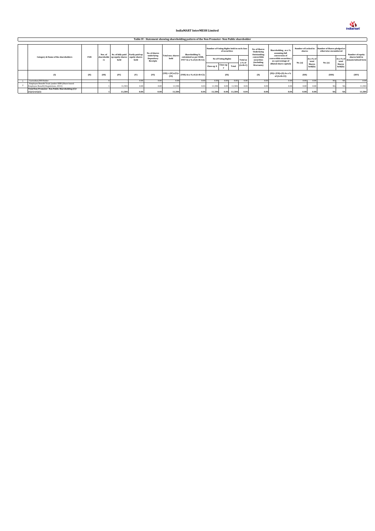

|  | Table IV - Statement showing shareholding pattern of the Non Promoter-Non Public shareholder |      |                  |                                        |      |                                      |                           |                                                    |                                            |               |        |                           |                                            |                                                                 |         |                          |                                                                         |                          |                                                 |
|--|----------------------------------------------------------------------------------------------|------|------------------|----------------------------------------|------|--------------------------------------|---------------------------|----------------------------------------------------|--------------------------------------------|---------------|--------|---------------------------|--------------------------------------------|-----------------------------------------------------------------|---------|--------------------------|-------------------------------------------------------------------------|--------------------------|-------------------------------------------------|
|  |                                                                                              |      |                  |                                        |      |                                      |                           |                                                    |                                            |               |        |                           |                                            |                                                                 |         |                          |                                                                         |                          |                                                 |
|  |                                                                                              |      | Nos. of          | No. of fully paid Partly paid-up       |      | No. of shares                        |                           | Shareholding %                                     | Number of Voting Rights held in each class | of securities |        |                           | No. of Shares<br>Underlying<br>Outstanding | Shareholding, as a %<br>assuming full                           | shares  |                          | Number of Locked in Number of Shares pledged or<br>otherwise encumbered |                          | Number of equity                                |
|  | Category & Name of the shareholders                                                          | PAN  | shareholde<br>rs | up equity shares equity shares<br>held | held | underlying<br>Depository<br>Receipts | Total nos. shares<br>held | calculated as per SCRR,<br>1957 As a % of (A+B+C2) | <b>No of Voting Rights</b>                 |               |        | <b>Total as</b><br>a % of | convertible<br>securities<br>(including    | conversion of<br>convertible securities (<br>as a percentage of | No. (a) | As a % of<br>total       | No. (a)                                                                 | total                    | shares held in<br>As a % of dematerialised form |
|  |                                                                                              |      |                  |                                        |      |                                      |                           |                                                    | Class eg: $X$                              | Class eg:     | Total  | $(A+B+C)$                 | <b>Warrants</b>                            | diluted share capital)                                          |         | <b>Shares</b><br>held(b) |                                                                         | <b>Shares</b><br>held(b) |                                                 |
|  | (1)                                                                                          | (II) | (III)            | (IV)                                   | (V)  | (VI)                                 | (VI)                      | $(VII) = (IV)+(V)+$ (VIII) As a % of (A+B+C2)      |                                            | (IX)          |        |                           | (X)                                        | $(XI) = (VII)+(X) As a %$<br>of $(A+B+C2)$                      | (XII)   |                          | (XIII)                                                                  |                          | (XIV)                                           |
|  | Custodian/DR Holder                                                                          |      |                  |                                        | 0.00 | 0.00                                 | 0.00                      | 0.00                                               | 0.00                                       | 0.00          | 0.00   | 0.00                      | 0.00                                       | 0.00                                                            | 0.00    | 0.00                     |                                                                         |                          | 0.00                                            |
|  | Employee Benefit Trust (under SEBI (Share based                                              |      |                  |                                        |      |                                      |                           |                                                    |                                            |               |        |                           |                                            |                                                                 |         |                          |                                                                         |                          |                                                 |
|  | Employee Benefit) Regulations, 2014)                                                         |      |                  | 11,584                                 | 0.00 | 0.00                                 | 11,584                    | 0.04                                               | 11,584                                     | 0.00          | 11,584 | 0.04                      | 0.00                                       | 0.04                                                            | 0.00    | 0.00                     | NA                                                                      | <b>NA</b>                | 11,584                                          |
|  | Total Non-Promoter- Non Public Shareholding (C)=                                             |      |                  |                                        |      |                                      |                           |                                                    |                                            |               |        |                           |                                            |                                                                 |         |                          |                                                                         |                          |                                                 |
|  | $(C)(1)+(C)(2)$                                                                              |      |                  | 11.584                                 | 0.00 | 0.00                                 | 11,584                    | 0.04                                               | 11,584                                     | 0.00          | 11,584 | 0.04                      | 0.00                                       | 0.04                                                            | 0.00    | 0.00                     | NA                                                                      | <b>NA</b>                | 11,584                                          |